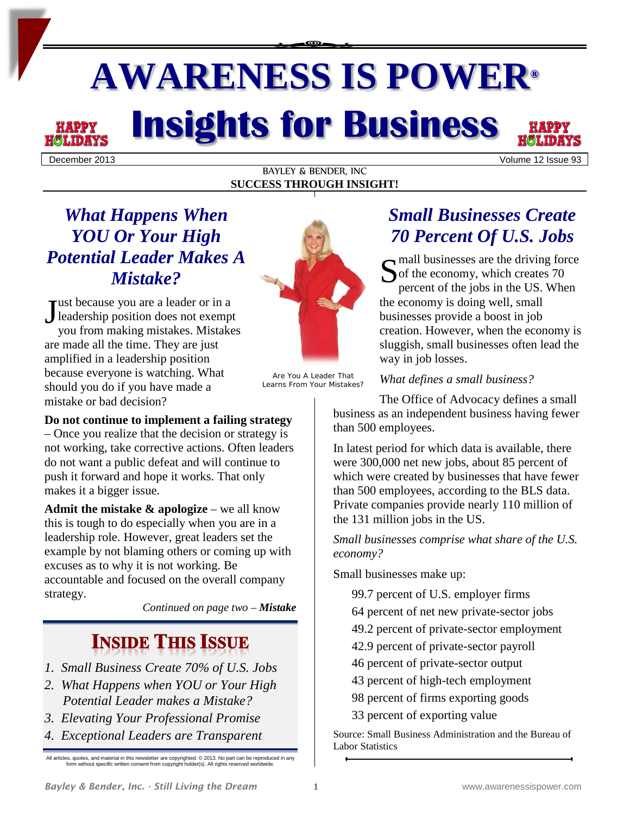# **AWARENESS IS POWER® Insights for Business**

December 2013 Volume 12 Issue 93

#### BAYLEY & BENDER, INC **SUCCESS THROUGH INSIGHT!**

# *What Happens When YOU Or Your High Potential Leader Makes A Mistake?*

ust because you are a leader or in a Just because you are a leader or in a<br>leadership position does not exempt<br>wou from making mistakes. Mistakes you from making mistakes. Mistakes are made all the time. They are just amplified in a leadership position because everyone is watching. What should you do if you have made a mistake or bad decision?

#### **Do not continue to implement a failing strategy**

– Once you realize that the decision or strategy is not working, take corrective actions. Often leaders do not want a public defeat and will continue to push it forward and hope it works. That only makes it a bigger issue.

**Admit the mistake & apologize** – we all know this is tough to do especially when you are in a leadership role. However, great leaders set the example by not blaming others or coming up with excuses as to why it is not working. Be accountable and focused on the overall company strategy.

*Continued on page two – Mistake*

# **INSIDE THIS ISSUE**

- *1. Small Business Create 70% of U.S. Jobs*
- *2. What Happens when YOU or Your High Potential Leader makes a Mistake?*
- *3. Elevating Your Professional Promise*
- *4. Exceptional Leaders are Transparent*

All articles, quotes, and material in this newsletter are copyrighted. © 2013. No part can be reproduced in any form without specific written consent from copyright holder(s). All rights reserved worldwide.



Are You A Leader That Learns From Your Mistakes?

# *Small Businesses Create 70 Percent Of U.S. Jobs*

S mall businesses are the driving force<br>
of the economy, which creates 70<br>
percent of the jobs in the US. When of the economy, which creates 70 percent of the jobs in the US. When the economy is doing well, small businesses provide a boost in job creation. However, when the economy is sluggish, small businesses often lead the way in job losses.

*What defines a small business?*

The Office of Advocacy defines a small business as an independent business having fewer than 500 employees.

In latest period for which data is available, there were 300,000 net new jobs, about 85 percent of which were created by businesses that have fewer than 500 employees, according to the BLS data. Private companies provide nearly 110 million of the 131 million jobs in the US.

*Small businesses comprise what share of the U.S. economy?*

Small businesses make up:

- 99.7 percent of U.S. employer firms
- 64 percent of net new private-sector jobs
- 49.2 percent of private-sector employment
- 42.9 percent of private-sector payroll
- 46 percent of private-sector output
- 43 percent of high-tech employment
- 98 percent of firms exporting goods
- 33 percent of exporting value

Source: Small Business Administration and the Bureau of Labor Statistics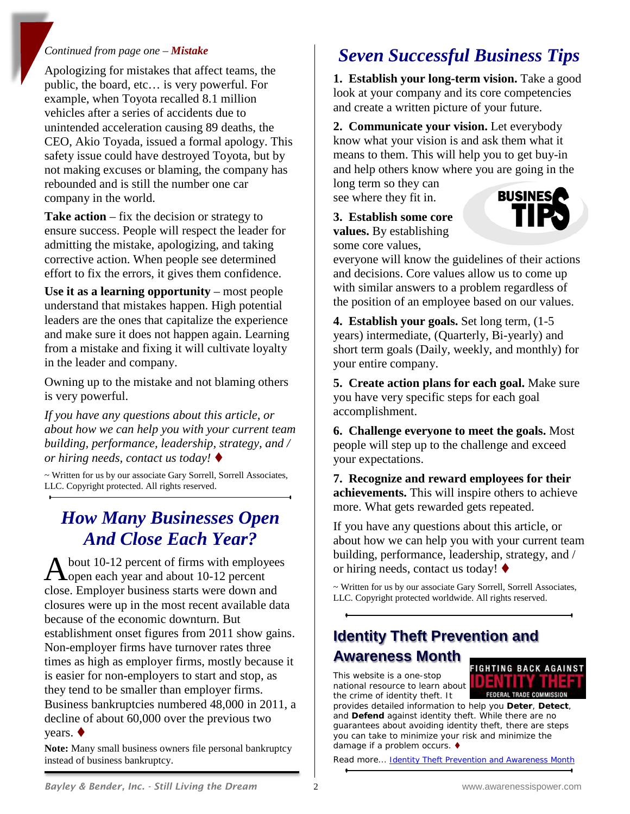#### *Continued from page one – Mistake*

Apologizing for mistakes that affect teams, the public, the board, etc… is very powerful. For example, when Toyota recalled 8.1 million vehicles after a series of accidents due to unintended acceleration causing 89 deaths, the CEO, Akio Toyada, issued a formal apology. This safety issue could have destroyed Toyota, but by not making excuses or blaming, the company has rebounded and is still the number one car company in the world.

**Take action** – fix the decision or strategy to ensure success. People will respect the leader for admitting the mistake, apologizing, and taking corrective action. When people see determined effort to fix the errors, it gives them confidence.

**Use it as a learning opportunity** – most people understand that mistakes happen. High potential leaders are the ones that capitalize the experience and make sure it does not happen again. Learning from a mistake and fixing it will cultivate loyalty in the leader and company.

Owning up to the mistake and not blaming others is very powerful.

*If you have any questions about this article, or about how we can help you with your current team building, performance, leadership, strategy, and / or hiring needs, contact us today!*

~ Written for us by our associate Gary Sorrell, Sorrell Associates, LLC. Copyright protected. All rights reserved.

## *How Many Businesses Open And Close Each Year?*

bout 10-12 percent of firms with employees A bout 10-12 percent of firms with employ<br>Open each year and about 10-12 percent close. Employer business starts were down and closures were up in the most recent available data because of the economic downturn. But establishment onset figures from 2011 show gains. Non-employer firms have turnover rates three times as high as employer firms, mostly because it is easier for non-employers to start and stop, as they tend to be smaller than employer firms. Business bankruptcies numbered 48,000 in 2011, a decline of about 60,000 over the previous two years.

**Note:** Many small business owners file personal bankruptcy instead of business bankruptcy.

# *Seven Successful Business Tips*

**1. Establish your long-term vision.** Take a good look at your company and its core competencies and create a written picture of your future.

**2. Communicate your vision.** Let everybody know what your vision is and ask them what it means to them. This will help you to get buy-in and help others know where you are going in the long term so they can

see where they fit in.

**3. Establish some core values.** By establishing some core values,



everyone will know the guidelines of their actions and decisions. Core values allow us to come up with similar answers to a problem regardless of the position of an employee based on our values.

**4. Establish your goals.** Set long term, (1-5 years) intermediate, (Quarterly, Bi-yearly) and short term goals (Daily, weekly, and monthly) for your entire company.

**5. Create action plans for each goal.** Make sure you have very specific steps for each goal accomplishment.

**6. Challenge everyone to meet the goals.** Most people will step up to the challenge and exceed your expectations.

**7. Recognize and reward employees for their achievements.** This will inspire others to achieve more. What gets rewarded gets repeated.

If you have any questions about this article, or about how we can help you with your current team building, performance, leadership, strategy, and / or hiring needs, contact us today!  $\blacklozenge$ 

~ Written for us by our associate Gary Sorrell, Sorrell Associates, LLC. Copyright protected worldwide. All rights reserved.

## **Identity Theft Prevention and Awareness Month FIGHTING BACK AGAINST**

This website is a one-stop national resource to learn about the crime of identity theft. It

provides detailed information to help you **Deter**, **Detect**, and **Defend** against identity theft. While there are no guarantees about avoiding identity theft, there are steps you can take to minimize your risk and minimize the damage if a problem occurs. ♦

Read more... **Identity Theft Prevention and Awareness Month** 

ENINY INE **FEDERAL TRADE COMMISS**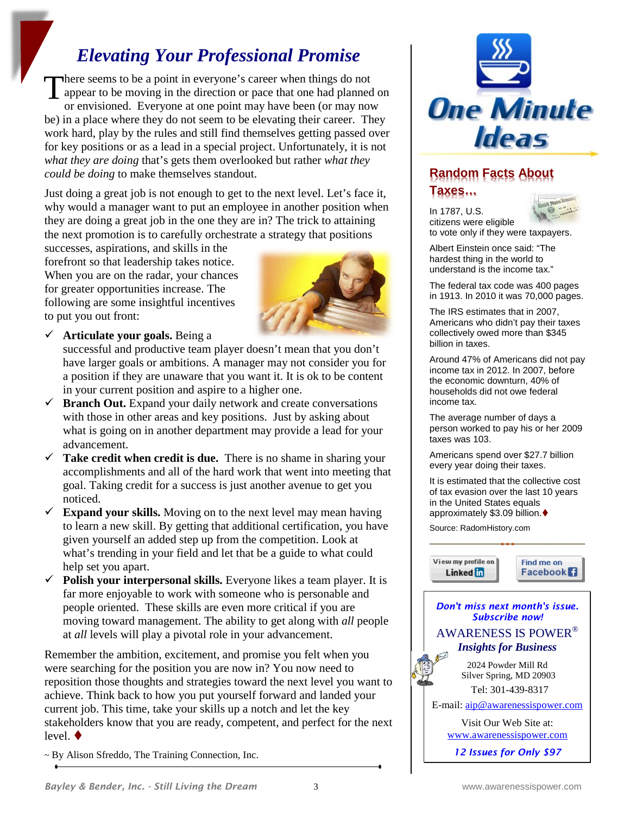# *Elevating Your Professional Promise*

There seems to be a point in everyone's career when things do not<br>appear to be moving in the direction or pace that one had planned<br>or envisioned. Everyone at one point may have been (or may not appear to be moving in the direction or pace that one had planned on or envisioned. Everyone at one point may have been (or may now be) in a place where they do not seem to be elevating their career. They work hard, play by the rules and still find themselves getting passed over for key positions or as a lead in a special project. Unfortunately, it is not *what they are doing* that's gets them overlooked but rather *what they could be doing* to make themselves standout.

Just doing a great job is not enough to get to the next level. Let's face it, why would a manager want to put an employee in another position when they are doing a great job in the one they are in? The trick to attaining the next promotion is to carefully orchestrate a strategy that positions

successes, aspirations, and skills in the forefront so that leadership takes notice. When you are on the radar, your chances for greater opportunities increase. The following are some insightful incentives to put you out front:



**Articulate your goals.** Being a

successful and productive team player doesn't mean that you don't have larger goals or ambitions. A manager may not consider you for a position if they are unaware that you want it. It is ok to be content in your current position and aspire to a higher one.

- $\checkmark$  **Branch Out.** Expand your daily network and create conversations with those in other areas and key positions. Just by asking about what is going on in another department may provide a lead for your advancement.
- $\checkmark$  Take credit when credit is due. There is no shame in sharing your accomplishments and all of the hard work that went into meeting that goal. Taking credit for a success is just another avenue to get you noticed.
- $\checkmark$  **Expand your skills.** Moving on to the next level may mean having to learn a new skill. By getting that additional certification, you have given yourself an added step up from the competition. Look at what's trending in your field and let that be a guide to what could help set you apart.
- $\checkmark$  **Polish your interpersonal skills.** Everyone likes a team player. It is far more enjoyable to work with someone who is personable and people oriented. These skills are even more critical if you are moving toward management. The ability to get along with *all* people at *all* levels will play a pivotal role in your advancement.

Remember the ambition, excitement, and promise you felt when you were searching for the position you are now in? You now need to reposition those thoughts and strategies toward the next level you want to achieve. Think back to how you put yourself forward and landed your current job. This time, take your skills up a notch and let the key stakeholders know that you are ready, competent, and perfect for the next level.  $\blacklozenge$ 

~ By Alison Sfreddo, The Training Connection, Inc.



## **Random Facts About**

**Taxes…**



In 1787, U.S. citizens were eligible to vote only if they were taxpayers.

Albert Einstein once said: "The hardest thing in the world to understand is the income tax."

The federal tax code was 400 pages in 1913. In 2010 it was 70,000 pages.

The IRS estimates that in 2007, Americans who didn't pay their taxes collectively owed more than \$345 billion in taxes.

Around 47% of Americans did not pay income tax in 2012. In 2007, before the economic downturn, 40% of households did not owe federal income tax.

The average number of days a person worked to pay his or her 2009 taxes was 103.

Americans spend over \$27.7 billion every year doing their taxes.

It is estimated that the collective cost of tax evasion over the last 10 years in the United States equals approximately \$3.09 billion.

Source: RadomHistory.com







*12 Issues for Only \$97*